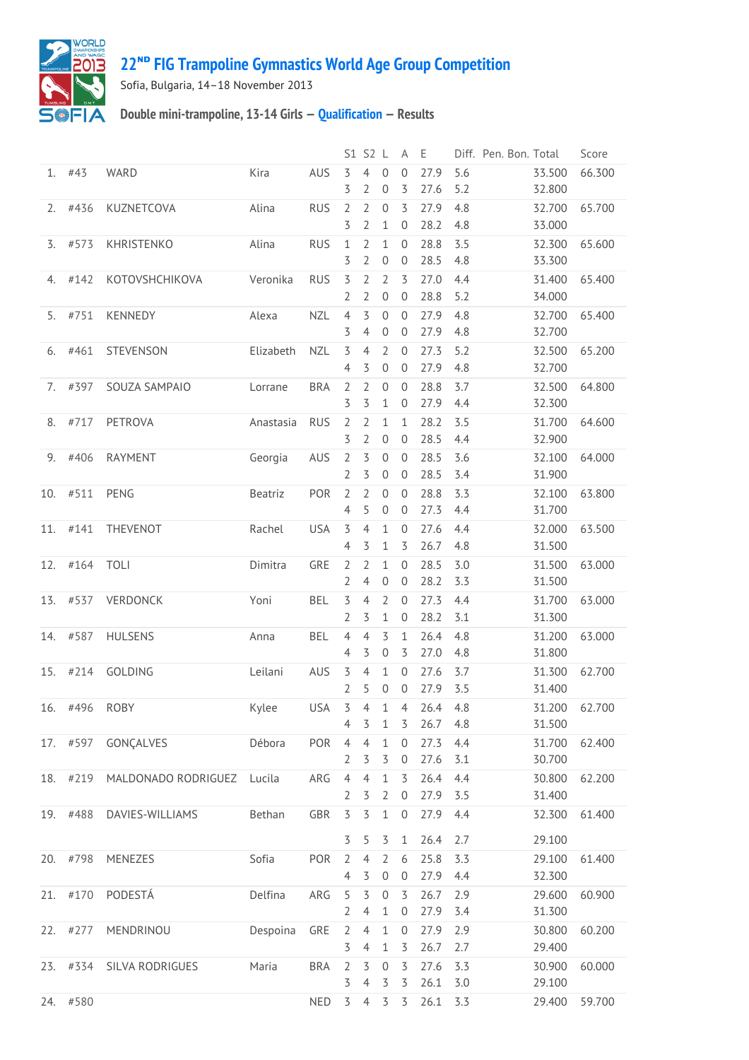

## **22ᴺᴰ [FIG Trampoline Gymnastics World Age Group Competition](http://192.168.1.7:9001/event)**

Sofia, Bulgaria, 14–18 November 2013

## **Double mini-trampoline, 13-14 Girls — [Qualification](http://192.168.1.7:9001/stage/26) — Results**

| 27.9<br>5.6<br>#43<br><b>WARD</b><br>Kira<br>AUS<br>3<br>4<br>$\mathbf 0$<br>$\mathbf{0}$<br>1.<br>3<br>$\overline{2}$<br>3<br>27.6<br>5.2<br>$\mathbf 0$<br>$\mathbf 0$<br>27.9<br>4.8<br>#436<br>KUZNETCOVA<br>Alina<br><b>RUS</b><br>$\overline{2}$<br>$\overline{2}$<br>3<br>2.<br>28.2<br>3<br>2<br>4.8<br>1<br>0<br>28.8<br>#573<br>KHRISTENKO<br>Alina<br><b>RUS</b><br>1<br>$\overline{2}$<br>$\mathbf{1}$<br>$\mathbf{0}$<br>3.5<br>3.<br>$\overline{2}$<br>28.5<br>4.8<br>3<br>$\overline{0}$<br>$\mathbf 0$<br>$\overline{2}$<br>$\overline{2}$<br>3<br>27.0<br>4.4<br>#142<br>KOTOVSHCHIKOVA<br>Veronika<br><b>RUS</b><br>3<br>4.<br>28.8<br>$\overline{2}$<br>$\boldsymbol{0}$<br>5.2<br>2<br>$\overline{0}$<br>27.9<br>KENNEDY<br><b>NZL</b><br>$\overline{4}$<br>3<br>$\theta$<br>4.8<br>#751<br>Alexa<br>0<br>5.<br>3<br>27.9<br>4.8<br>4<br>$\boldsymbol{0}$<br>0<br>$\overline{2}$<br>27.3<br>#461<br>STEVENSON<br><b>NZL</b><br>3<br>$\mathbf{0}$<br>5.2<br>Elizabeth<br>4<br>6.<br>27.9<br>3<br>$\mathbf 0$<br>$\overline{0}$<br>4.8<br>4<br>28.8<br>#397<br><b>BRA</b><br>$\overline{2}$<br>$\theta$<br>3.7<br>SOUZA SAMPAIO<br>2<br>$\overline{0}$<br>7.<br>Lorrane | 33.500<br>66.300<br>32.800<br>65.700<br>32.700<br>33.000<br>32.300<br>65.600<br>33.300<br>31.400<br>65.400<br>34.000<br>32.700<br>65.400<br>32.700 |
|-------------------------------------------------------------------------------------------------------------------------------------------------------------------------------------------------------------------------------------------------------------------------------------------------------------------------------------------------------------------------------------------------------------------------------------------------------------------------------------------------------------------------------------------------------------------------------------------------------------------------------------------------------------------------------------------------------------------------------------------------------------------------------------------------------------------------------------------------------------------------------------------------------------------------------------------------------------------------------------------------------------------------------------------------------------------------------------------------------------------------------------------------------------------------------------------|----------------------------------------------------------------------------------------------------------------------------------------------------|
|                                                                                                                                                                                                                                                                                                                                                                                                                                                                                                                                                                                                                                                                                                                                                                                                                                                                                                                                                                                                                                                                                                                                                                                           |                                                                                                                                                    |
|                                                                                                                                                                                                                                                                                                                                                                                                                                                                                                                                                                                                                                                                                                                                                                                                                                                                                                                                                                                                                                                                                                                                                                                           |                                                                                                                                                    |
|                                                                                                                                                                                                                                                                                                                                                                                                                                                                                                                                                                                                                                                                                                                                                                                                                                                                                                                                                                                                                                                                                                                                                                                           |                                                                                                                                                    |
|                                                                                                                                                                                                                                                                                                                                                                                                                                                                                                                                                                                                                                                                                                                                                                                                                                                                                                                                                                                                                                                                                                                                                                                           |                                                                                                                                                    |
|                                                                                                                                                                                                                                                                                                                                                                                                                                                                                                                                                                                                                                                                                                                                                                                                                                                                                                                                                                                                                                                                                                                                                                                           |                                                                                                                                                    |
|                                                                                                                                                                                                                                                                                                                                                                                                                                                                                                                                                                                                                                                                                                                                                                                                                                                                                                                                                                                                                                                                                                                                                                                           | 32.500<br>65.200<br>32.700                                                                                                                         |
| 3<br>$\overline{5}$<br>27.9<br>$\mathbf{1}$<br>0<br>4.4                                                                                                                                                                                                                                                                                                                                                                                                                                                                                                                                                                                                                                                                                                                                                                                                                                                                                                                                                                                                                                                                                                                                   | 32.500<br>64.800<br>32.300                                                                                                                         |
| 28.2<br>3.5<br>#717<br>PETROVA<br>$\overline{2}$<br>2<br>1<br>8.<br>Anastasia<br><b>RUS</b><br>1<br>3<br>28.5<br>2<br>$\boldsymbol{0}$<br>0<br>4.4                                                                                                                                                                                                                                                                                                                                                                                                                                                                                                                                                                                                                                                                                                                                                                                                                                                                                                                                                                                                                                        | 31.700<br>64.600<br>32.900                                                                                                                         |
| $\mathbf 0$<br>28.5<br>3.6<br>9.<br>#406<br><b>RAYMENT</b><br>AUS<br>$\overline{2}$<br>3<br>$\overline{0}$<br>Georgia<br>$\overline{2}$<br>3<br>28.5<br>3.4<br>$\mathbf 0$<br>0                                                                                                                                                                                                                                                                                                                                                                                                                                                                                                                                                                                                                                                                                                                                                                                                                                                                                                                                                                                                           | 32.100<br>64.000<br>31.900                                                                                                                         |
| 2<br>28.8<br>3.3<br>#511<br>PENG<br>POR<br>$\overline{2}$<br>$\mathbf 0$<br>10.<br>Beatriz<br>0<br>5<br>$\mathbf 0$<br>27.3<br>$\overline{4}$<br>$\overline{0}$<br>4.4                                                                                                                                                                                                                                                                                                                                                                                                                                                                                                                                                                                                                                                                                                                                                                                                                                                                                                                                                                                                                    | 32.100<br>63.800<br>31.700                                                                                                                         |
| #141<br>$\overline{5}$<br>27.6<br>THEVENOT<br>Rachel<br><b>USA</b><br>$\overline{4}$<br>$\mathbf{1}$<br>$\mathbf{0}$<br>4.4<br>11.<br>26.7<br>4<br>3<br>3<br>4.8<br>1                                                                                                                                                                                                                                                                                                                                                                                                                                                                                                                                                                                                                                                                                                                                                                                                                                                                                                                                                                                                                     | 32.000<br>63.500<br>31.500                                                                                                                         |
| #164<br>GRE<br>2<br>28.5<br>3.0<br>12.<br><b>TOLI</b><br>Dimitra<br>2<br>1<br>$\overline{0}$<br>28.2<br>$\theta$<br>3.3<br>2<br>4<br>$\overline{0}$                                                                                                                                                                                                                                                                                                                                                                                                                                                                                                                                                                                                                                                                                                                                                                                                                                                                                                                                                                                                                                       | 31.500<br>63.000<br>31.500                                                                                                                         |
| $\overline{5}$<br>$\overline{2}$<br>27.3<br>#537<br>VERDONCK<br>Yoni<br><b>BEL</b><br>$\overline{4}$<br>$\mathbf{0}$<br>4.4<br>13.<br>2<br>3<br>28.2<br>3.1<br>1<br>0                                                                                                                                                                                                                                                                                                                                                                                                                                                                                                                                                                                                                                                                                                                                                                                                                                                                                                                                                                                                                     | 31.700<br>63.000<br>31.300                                                                                                                         |
| 26.4<br>#587<br>$\overline{4}$<br>$\mathbf{1}$<br>4.8<br>14.<br><b>HULSENS</b><br><b>BEL</b><br>4<br>3<br>Anna<br>27.0<br>3<br>$\mathbf 0$<br>3<br>4.8<br>4                                                                                                                                                                                                                                                                                                                                                                                                                                                                                                                                                                                                                                                                                                                                                                                                                                                                                                                                                                                                                               | 31.200<br>63.000<br>31.800                                                                                                                         |
| #214<br>3.7<br>15.<br><b>GOLDING</b><br>AUS<br>3<br>$\overline{4}$<br>$\mathbf{1}$<br>27.6<br>Leilani<br>$\overline{0}$<br>$\overline{2}$<br>5<br>$\theta$<br>27.9<br>3.5<br>0                                                                                                                                                                                                                                                                                                                                                                                                                                                                                                                                                                                                                                                                                                                                                                                                                                                                                                                                                                                                            | 31.300<br>62.700<br>31.400                                                                                                                         |
| #496<br><b>ROBY</b><br><b>USA</b><br>3<br>4<br>$\mathbf{1}$<br>$\overline{4}$<br>26.4<br>Kylee<br>4.8<br>16.<br>3<br>3<br>26.7<br>4.8<br>4<br>1                                                                                                                                                                                                                                                                                                                                                                                                                                                                                                                                                                                                                                                                                                                                                                                                                                                                                                                                                                                                                                           | 31.200<br>62.700<br>31.500                                                                                                                         |
| 27.3<br>POR<br>$\overline{4}$<br>$\overline{4}$<br>$\mathbf{1}$<br>4.4<br>17. #597<br>GONÇALVES<br>Débora<br>0<br>27.6<br>$\overline{2}$<br>3<br>$\overline{3}$<br>3.1<br>$\boldsymbol{0}$                                                                                                                                                                                                                                                                                                                                                                                                                                                                                                                                                                                                                                                                                                                                                                                                                                                                                                                                                                                                | 31.700<br>62.400<br>30.700                                                                                                                         |
| 26.4<br>ARG<br>$\overline{4}$<br>$\overline{4}$<br>$\mathbf{1}$<br>4.4<br>18.<br>#219<br>MALDONADO RODRIGUEZ<br>3<br>Lucila<br>27.9<br>$\overline{2}$<br>3<br>$\overline{2}$<br>$\boldsymbol{0}$<br>3.5                                                                                                                                                                                                                                                                                                                                                                                                                                                                                                                                                                                                                                                                                                                                                                                                                                                                                                                                                                                   | 30.800<br>62.200<br>31.400                                                                                                                         |
| $\overline{5}$<br>27.9<br>19. #488<br>DAVIES-WILLIAMS<br>Bethan<br>GBR<br>3<br>$\mathbf 1$<br>$\mathbf 0$<br>4.4                                                                                                                                                                                                                                                                                                                                                                                                                                                                                                                                                                                                                                                                                                                                                                                                                                                                                                                                                                                                                                                                          | 32.300<br>61.400                                                                                                                                   |
| 26.4<br>3<br>5<br>2.7<br>3<br>$\mathbf 1$<br>25.8<br>3.3<br>#798<br>MENEZES<br>Sofia<br>POR<br>$\overline{2}$<br>$\overline{4}$<br>$\overline{2}$<br>20.<br>6                                                                                                                                                                                                                                                                                                                                                                                                                                                                                                                                                                                                                                                                                                                                                                                                                                                                                                                                                                                                                             | 29.100<br>29.100<br>61.400                                                                                                                         |
| 27.9<br>$\overline{4}$<br>3<br>$\boldsymbol{0}$<br>4.4<br>$\mathbf 0$<br>26.7<br>21. #170<br>PODESTÁ<br>$\overline{5}$<br>$\mathbf 0$<br>2.9<br>Delfina<br>ARG<br>5<br>3                                                                                                                                                                                                                                                                                                                                                                                                                                                                                                                                                                                                                                                                                                                                                                                                                                                                                                                                                                                                                  | 32.300<br>29.600<br>60.900                                                                                                                         |
| 27.9<br>$\overline{2}$<br>$\mathbf{1}$<br>3.4<br>4<br>$\boldsymbol{0}$<br>GRE<br>27.9<br>#277<br>MENDRINOU<br>Despoina<br>$\overline{2}$<br>$\overline{4}$<br>$\mathbf{1}$<br>$\overline{0}$<br>2.9<br>22.                                                                                                                                                                                                                                                                                                                                                                                                                                                                                                                                                                                                                                                                                                                                                                                                                                                                                                                                                                                | 31.300<br>30.800<br>60.200                                                                                                                         |
| 3<br>26.7<br>$\mathbf{1}$<br>2.7<br>4<br>3<br>$\overline{5}$<br>3<br>27.6<br>3.3<br>23. #334<br>SILVA RODRIGUES<br>Maria<br><b>BRA</b><br>$\overline{2}$<br>$\theta$                                                                                                                                                                                                                                                                                                                                                                                                                                                                                                                                                                                                                                                                                                                                                                                                                                                                                                                                                                                                                      | 29.400<br>30.900<br>60.000                                                                                                                         |
| 26.1<br>3<br>3<br>3<br>3.0<br>4<br>#580<br>$\overline{5}$<br>$\overline{5}$<br>26.1<br><b>NED</b><br>$\overline{4}$<br>3<br>3.3<br>24.                                                                                                                                                                                                                                                                                                                                                                                                                                                                                                                                                                                                                                                                                                                                                                                                                                                                                                                                                                                                                                                    | 29.100<br>29.400<br>59.700                                                                                                                         |